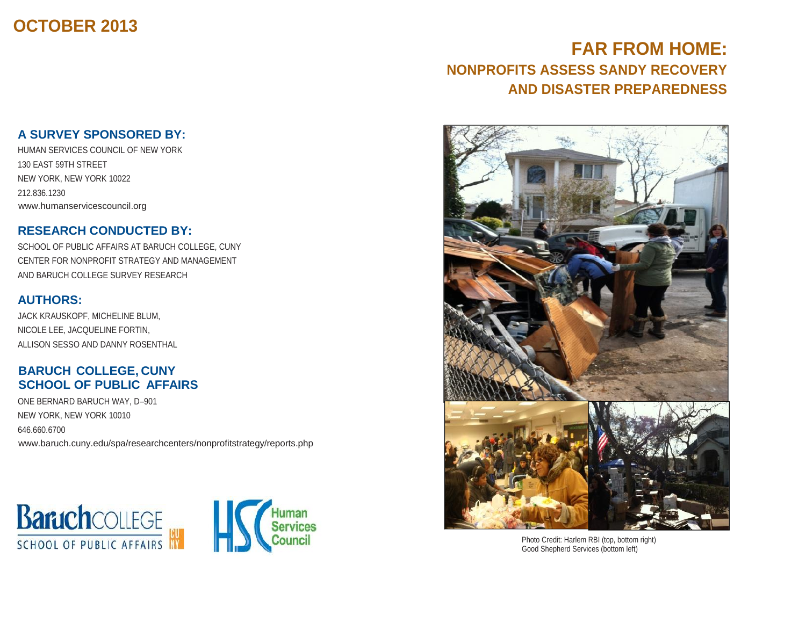# **OCTOBER 2013**

### **FAR FROM HOME: NONPROFITS ASSESS SANDY RECOVERY AND DISASTER PREPAREDNESS**

### **A SURVEY SPONSORED BY:**

HUMAN SERVICES COUNCIL OF NEW YORK 130 EAST 59TH STREET NEW YORK, NEW YORK 10022 212.836.1230 www.humanservicescouncil.org

### **RESEARCH CONDUCTED BY:**

SCHOOL OF PUBLIC AFFAIRS AT BARUCH COLLEGE, CUNY CENTER FOR NONPROFIT STRATEGY AND MANAGEMENT AND BARUCH COLLEGE SURVEY RESEARCH

### **AUTHORS:**

JACK KRAUSKOPF, MICHELINE BLUM, NICOLE LEE, JACQUELINE FORTIN, ALLISON SESSO AND DANNY ROSENTHAL

### **BARUCH COLLEGE, CUNY SCHOOL OF PUBLIC AFFAIRS**

ONE BERNARD BARUCH WAY, D–901 NEW YORK, NEW YORK 10010 646.660.6700 www.baruch.cuny.edu/spa/researchcenters/nonprofitstrategy/reports.php





Photo Credit: Harlem RBI (top, bottom right) Good Shepherd Services (bottom left)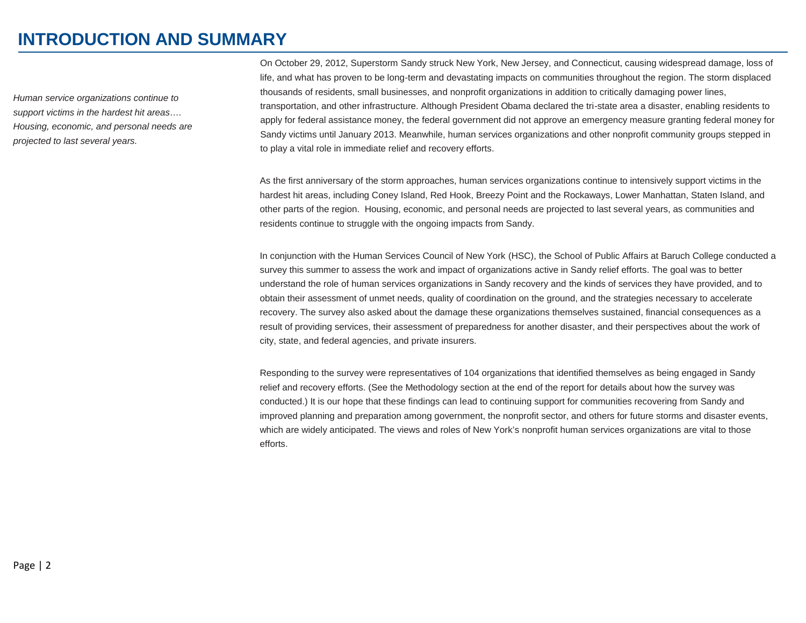# **INTRODUCTION AND SUMMARY**

*Human service organizations continue to support victims in the hardest hit areas…. Housing, economic, and personal needs are projected to last several years.*

On October 29, 2012, Superstorm Sandy struck New York, New Jersey, and Connecticut, causing widespread damage, loss of life, and what has proven to be long-term and devastating impacts on communities throughout the region. The storm displaced thousands of residents, small businesses, and nonprofit organizations in addition to critically damaging power lines, transportation, and other infrastructure. Although President Obama declared the tri-state area a disaster, enabling residents to apply for federal assistance money, the federal government did not approve an emergency measure granting federal money for Sandy victims until January 2013. Meanwhile, human services organizations and other nonprofit community groups stepped in to play a vital role in immediate relief and recovery efforts.

As the first anniversary of the storm approaches, human services organizations continue to intensively support victims in the hardest hit areas, including Coney Island, Red Hook, Breezy Point and the Rockaways, Lower Manhattan, Staten Island, and other parts of the region. Housing, economic, and personal needs are projected to last several years, as communities and residents continue to struggle with the ongoing impacts from Sandy.

In conjunction with the Human Services Council of New York (HSC), the School of Public Affairs at Baruch College conducted a survey this summer to assess the work and impact of organizations active in Sandy relief efforts. The goal was to better understand the role of human services organizations in Sandy recovery and the kinds of services they have provided, and to obtain their assessment of unmet needs, quality of coordination on the ground, and the strategies necessary to accelerate recovery. The survey also asked about the damage these organizations themselves sustained, financial consequences as a result of providing services, their assessment of preparedness for another disaster, and their perspectives about the work of city, state, and federal agencies, and private insurers.

Responding to the survey were representatives of 104 organizations that identified themselves as being engaged in Sandy relief and recovery efforts. (See the Methodology section at the end of the report for details about how the survey was conducted.) It is our hope that these findings can lead to continuing support for communities recovering from Sandy and improved planning and preparation among government, the nonprofit sector, and others for future storms and disaster events, which are widely anticipated. The views and roles of New York's nonprofit human services organizations are vital to those efforts.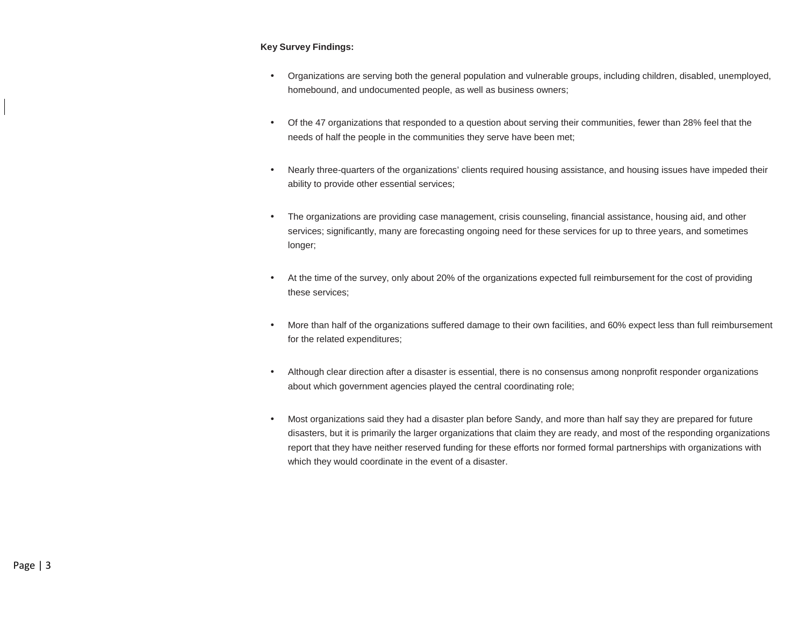#### **Key Survey Findings:**

- Organizations are serving both the general population and vulnerable groups, including children, disabled, unemployed, homebound, and undocumented people, as well as business owners;
- Of the 47 organizations that responded to a question about serving their communities, fewer than 28% feel that the needs of half the people in the communities they serve have been met;
- Nearly three-quarters of the organizations' clients required housing assistance, and housing issues have impeded their ability to provide other essential services;
- The organizations are providing case management, crisis counseling, financial assistance, housing aid, and other services; significantly, many are forecasting ongoing need for these services for up to three years, and sometimes longer;
- At the time of the survey, only about 20% of the organizations expected full reimbursement for the cost of providing these services;
- More than half of the organizations suffered damage to their own facilities, and 60% expect less than full reimbursement for the related expenditures;
- Although clear direction after a disaster is essential, there is no consensus among nonprofit responder organizations about which government agencies played the central coordinating role;
- Most organizations said they had a disaster plan before Sandy, and more than half say they are prepared for future disasters, but it is primarily the larger organizations that claim they are ready, and most of the responding organizations report that they have neither reserved funding for these efforts nor formed formal partnerships with organizations with which they would coordinate in the event of a disaster.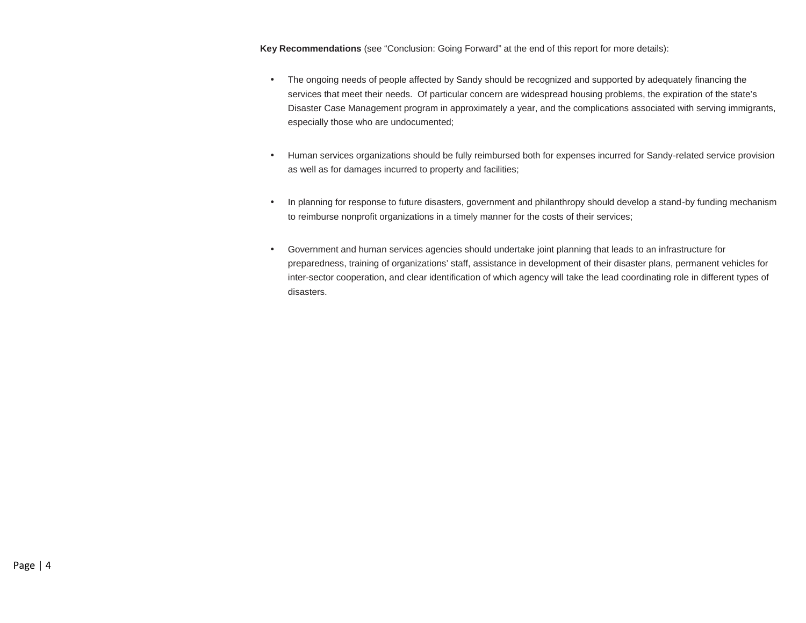**Key Recommendations** (see "Conclusion: Going Forward" at the end of this report for more details):

- The ongoing needs of people affected by Sandy should be recognized and supported by adequately financing the services that meet their needs. Of particular concern are widespread housing problems, the expiration of the state's Disaster Case Management program in approximately a year, and the complications associated with serving immigrants, especially those who are undocumented;
- Human services organizations should be fully reimbursed both for expenses incurred for Sandy-related service provision as well as for damages incurred to property and facilities;
- In planning for response to future disasters, government and philanthropy should develop a stand-by funding mechanism to reimburse nonprofit organizations in a timely manner for the costs of their services;
- Government and human services agencies should undertake joint planning that leads to an infrastructure for preparedness, training of organizations' staff, assistance in development of their disaster plans, permanent vehicles for inter-sector cooperation, and clear identification of which agency will take the lead coordinating role in different types of disasters.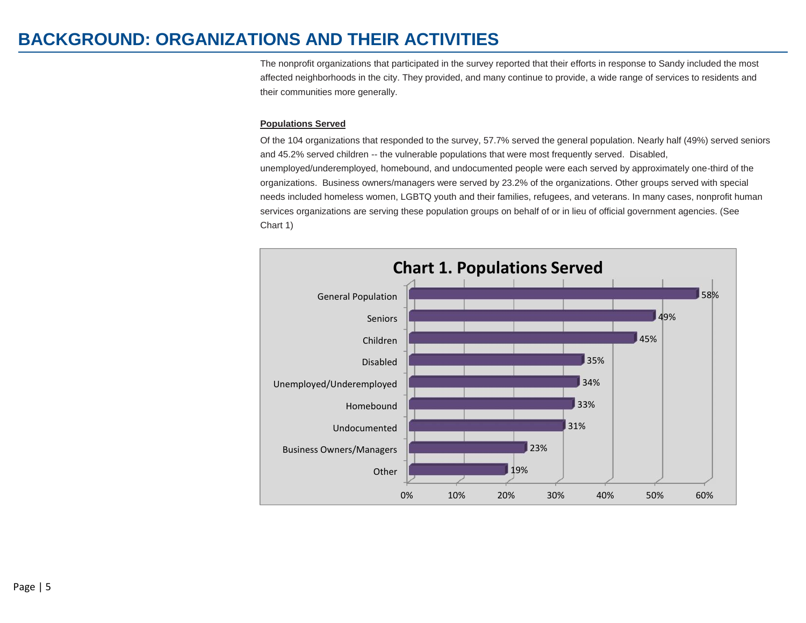# **BACKGROUND: ORGANIZATIONS AND THEIR ACTIVITIES**

The nonprofit organizations that participated in the survey reported that their efforts in response to Sandy included the most affected neighborhoods in the city. They provided, and many continue to provide, a wide range of services to residents and their communities more generally.

#### **Populations Served**

Of the 104 organizations that responded to the survey, 57.7% served the general population. Nearly half (49%) served seniors and 45.2% served children -- the vulnerable populations that were most frequently served. Disabled, unemployed/underemployed, homebound, and undocumented people were each served by approximately one-third of the organizations. Business owners/managers were served by 23.2% of the organizations. Other groups served with special needs included homeless women, LGBTQ youth and their families, refugees, and veterans. In many cases, nonprofit human services organizations are serving these population groups on behalf of or in lieu of official government agencies. (See Chart 1)

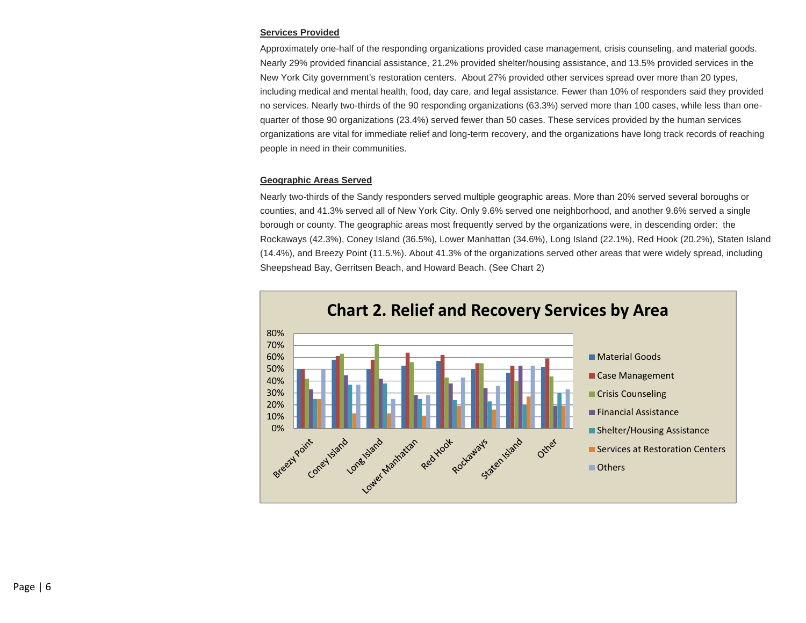#### **Services Provided**

Approximately one-half of the responding organizations provided case management, crisis counseling, and material goods. Nearly 29% provided financial assistance, 21.2% provided shelter/housing assistance, and 13.5% provided services in the New York City government's restoration centers. About 27% provided other services spread over more than 20 types, including medical and mental health, food, day care, and legal assistance. Fewer than 10% of responders said they provided no services. Nearly two-thirds of the 90 responding organizations (63.3%) served more than 100 cases, while less than one quarter of those 90 organizations (23.4%) served fewer than 50 cases. These services provided by the human services organizations are vital for immediate relief and long-term recovery, and the organizations have long track records of reaching people in need in their communities.

#### **Geographic Areas Served**

Nearly two-thirds of the Sandy responders served multiple geographic areas. More than 20% served several boroughs or counties, and 41.3% served all of New York City. Only 9.6% served one neighborhood, and another 9.6% served a single borough or county. The geographic areas most frequently served by the organizations were, in descending order: the Rockaways (42.3%), Coney Island (36.5%), Lower Manhattan (34.6%), Long Island (22.1%), Red Hook (20.2%), Staten Island (14.4%), and Breezy Point (11.5.%). About 41.3% of the organizations served other areas that were widely spread, including Sheepshead Bay, Gerritsen Beach, and Howard Beach. (See Chart 2)



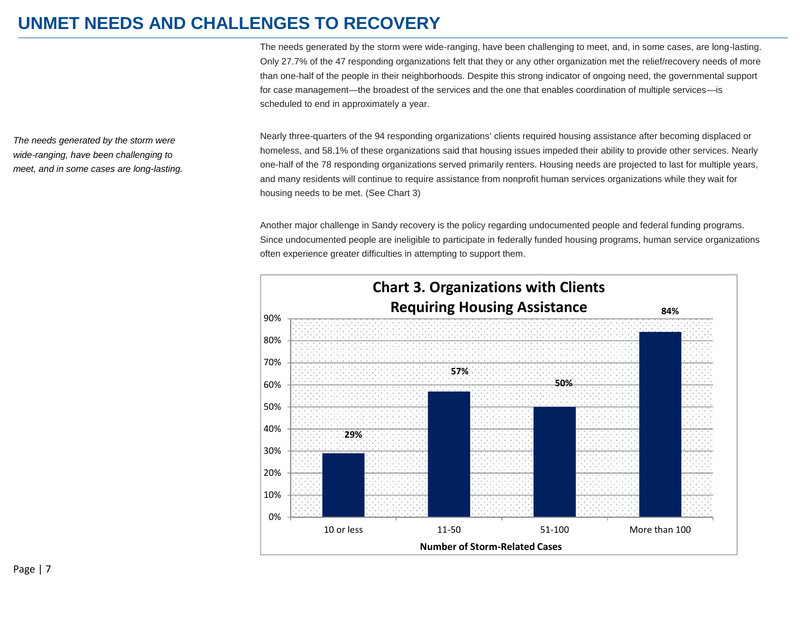## **UNMET NEEDS AND CHALLENGES TO RECOVERY**

The needs generated by the storm were wide-ranging, have been challenging to meet, and, in some cases, are long-lasting. Only 27.7% of the 47 responding organizations felt that they or any other organization met the relief/recovery needs of more than one-half of the people in their neighborhoods. Despite this strong indicator of ongoing need, the governmental support for case management—the broadest of the services and the one that enables coordination of multiple services—is scheduled to end in approximately a year.

*The needs generated by the storm were wide-ranging, have been challenging to meet, and in some cases are long-lasting.* Nearly three-quarters of the 94 responding organizations' clients required housing assistance after becoming displaced or homeless, and 58.1% of these organizations said that housing issues impeded their ability to provide other services. Nearly one-half of the 78 responding organizations served primarily renters. Housing needs are projected to last for multiple years, and many residents will continue to require assistance from nonprofit human services organizations while they wait for housing needs to be met. (See Chart 3)

Another major challenge in Sandy recovery is the policy regarding undocumented people and federal funding programs. Since undocumented people are ineligible to participate in federally funded housing programs, human service organizations often experience greater difficulties in attempting to support them.

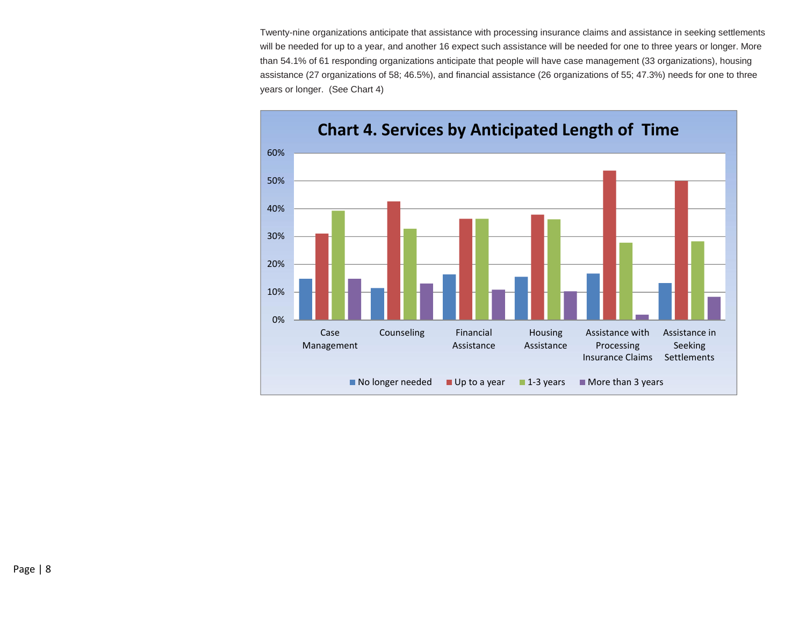Twenty-nine organizations anticipate that assistance with processing insurance claims and assistance in seeking settlements will be needed for up to a year, and another 16 expect such assistance will be needed for one to three years or longer. More than 54.1% of 61 responding organizations anticipate that people will have case management (33 organizations), housing assistance (27 organizations of 58; 46.5%), and financial assistance (26 organizations of 55; 47.3%) needs for one to three years or longer. (See Chart 4)

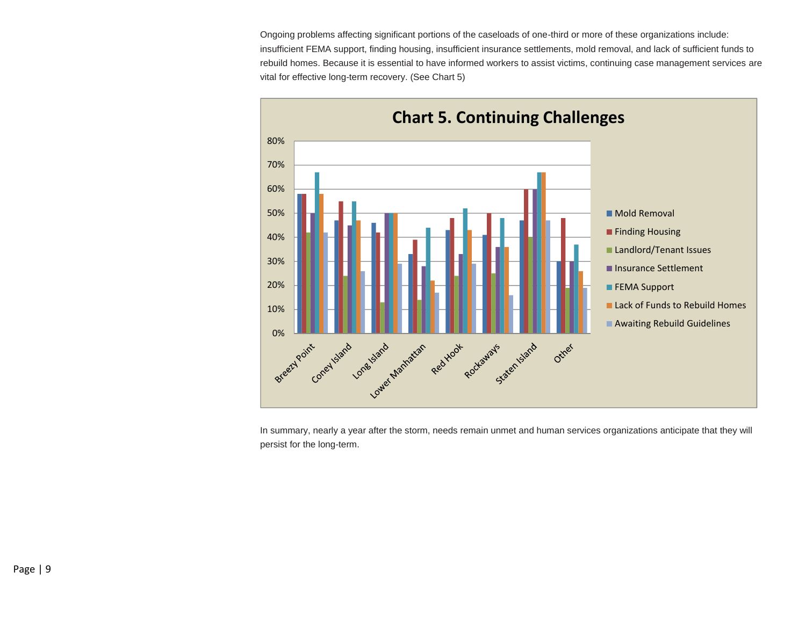Ongoing problems affecting significant portions of the caseloads of one-third or more of these organizations include: insufficient FEMA support, finding housing, insufficient insurance settlements, mold removal, and lack of sufficient funds to rebuild homes. Because it is essential to have informed workers to assist victims, continuing case management services are vital for effective long-term recovery. (See Chart 5)



In summary, nearly a year after the storm, needs remain unmet and human services organizations anticipate that they will persist for the long-term.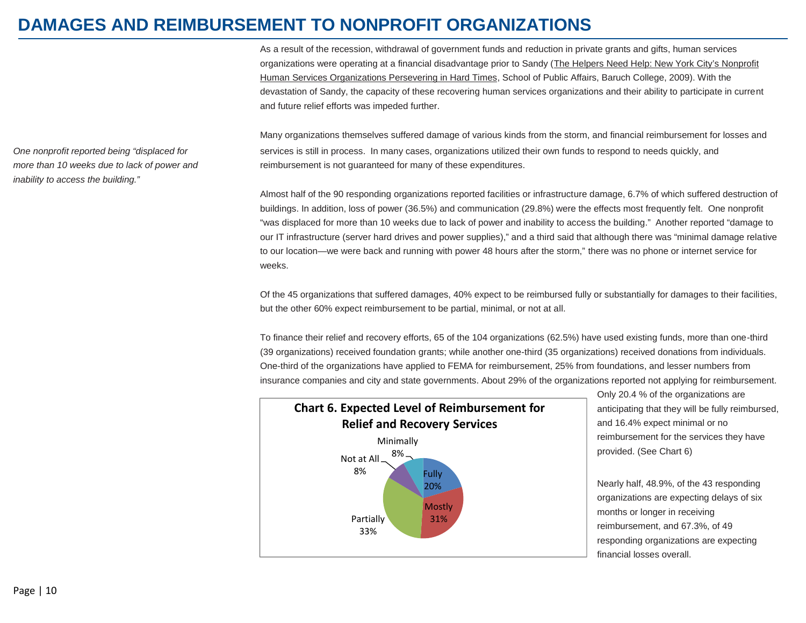## **DAMAGES AND REIMBURSEMENT TO NONPROFIT ORGANIZATIONS**

As a result of the recession, withdrawal of government funds and reduction in private grants and gifts, human services organizations were operating at a financial disadvantage prior to Sandy (The Helpers Need Help: New York City's Nonprofit Human Services Organizations Persevering in Hard Times, School of Public Affairs, Baruch College, 2009). With the devastation of Sandy, the capacity of these recovering human services organizations and their ability to participate in current and future relief efforts was impeded further.

Many organizations themselves suffered damage of various kinds from the storm, and financial reimbursement for losses and services is still in process. In many cases, organizations utilized their own funds to respond to needs quickly, and reimbursement is not guaranteed for many of these expenditures.

Almost half of the 90 responding organizations reported facilities or infrastructure damage, 6.7% of which suffered destruction of buildings. In addition, loss of power (36.5%) and communication (29.8%) were the effects most frequently felt. One nonprofit "was displaced for more than 10 weeks due to lack of power and inability to access the building." Another reported "damage to our IT infrastructure (server hard drives and power supplies)," and a third said that although there was "minimal damage relative to our location—we were back and running with power 48 hours after the storm," there was no phone or internet service for weeks.

Of the 45 organizations that suffered damages, 40% expect to be reimbursed fully or substantially for damages to their facilities, but the other 60% expect reimbursement to be partial, minimal, or not at all.

To finance their relief and recovery efforts, 65 of the 104 organizations (62.5%) have used existing funds, more than one-third (39 organizations) received foundation grants; while another one-third (35 organizations) received donations from individuals. One-third of the organizations have applied to FEMA for reimbursement, 25% from foundations, and lesser numbers from insurance companies and city and state governments. About 29% of the organizations reported not applying for reimbursement.



Only 20.4 % of the organizations are anticipating that they will be fully reimbursed, and 16.4% expect minimal or no reimbursement for the services they have provided. (See Chart 6)

Nearly half, 48.9%, of the 43 responding organizations are expecting delays of six months or longer in receiving reimbursement, and 67.3%, of 49 responding organizations are expecting financial losses overall.

*One nonprofit reported being "displaced for more than 10 weeks due to lack of power and inability to access the building."*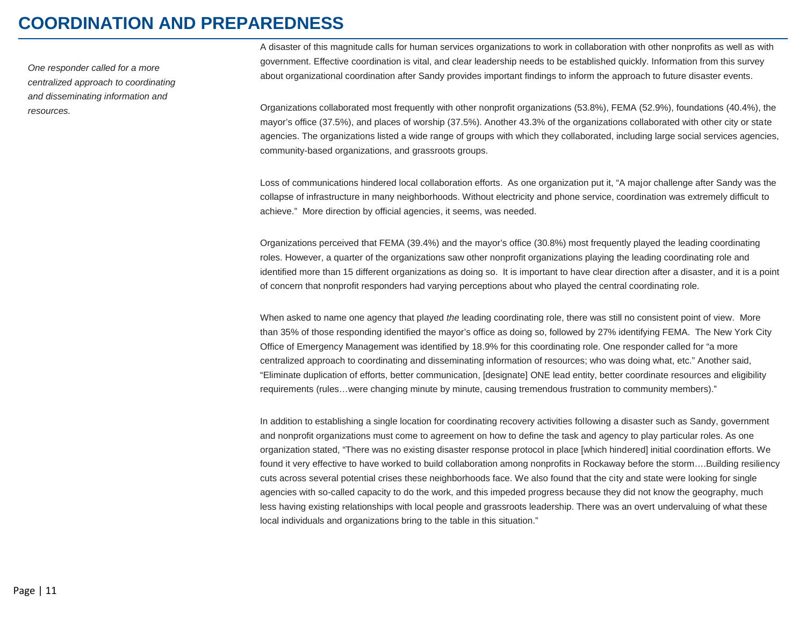## **COORDINATION AND PREPAREDNESS**

*One responder called for a more centralized approach to coordinating and disseminating information and resources.*

A disaster of this magnitude calls for human services organizations to work in collaboration with other nonprofits as well as with government. Effective coordination is vital, and clear leadership needs to be established quickly. Information from this survey about organizational coordination after Sandy provides important findings to inform the approach to future disaster events.

Organizations collaborated most frequently with other nonprofit organizations (53.8%), FEMA (52.9%), foundations (40.4%), the mayor's office (37.5%), and places of worship (37.5%). Another 43.3% of the organizations collaborated with other city or state agencies. The organizations listed a wide range of groups with which they collaborated, including large social services agencies, community-based organizations, and grassroots groups.

Loss of communications hindered local collaboration efforts. As one organization put it, "A major challenge after Sandy was the collapse of infrastructure in many neighborhoods. Without electricity and phone service, coordination was extremely difficult to achieve." More direction by official agencies, it seems, was needed.

Organizations perceived that FEMA (39.4%) and the mayor's office (30.8%) most frequently played the leading coordinating roles. However, a quarter of the organizations saw other nonprofit organizations playing the leading coordinating role and identified more than 15 different organizations as doing so. It is important to have clear direction after a disaster, and it is a point of concern that nonprofit responders had varying perceptions about who played the central coordinating role.

When asked to name one agency that played *the* leading coordinating role, there was still no consistent point of view. More than 35% of those responding identified the mayor's office as doing so, followed by 27% identifying FEMA. The New York City Office of Emergency Management was identified by 18.9% for this coordinating role. One responder called for "a more centralized approach to coordinating and disseminating information of resources; who was doing what, etc." Another said, "Eliminate duplication of efforts, better communication, [designate] ONE lead entity, better coordinate resources and eligibility requirements (rules…were changing minute by minute, causing tremendous frustration to community members)."

In addition to establishing a single location for coordinating recovery activities following a disaster such as Sandy, government and nonprofit organizations must come to agreement on how to define the task and agency to play particular roles. As one organization stated, "There was no existing disaster response protocol in place [which hindered] initial coordination efforts. We found it very effective to have worked to build collaboration among nonprofits in Rockaway before the storm....Building resiliency cuts across several potential crises these neighborhoods face. We also found that the city and state were looking for single agencies with so-called capacity to do the work, and this impeded progress because they did not know the geography, much less having existing relationships with local people and grassroots leadership. There was an overt undervaluing of what these local individuals and organizations bring to the table in this situation."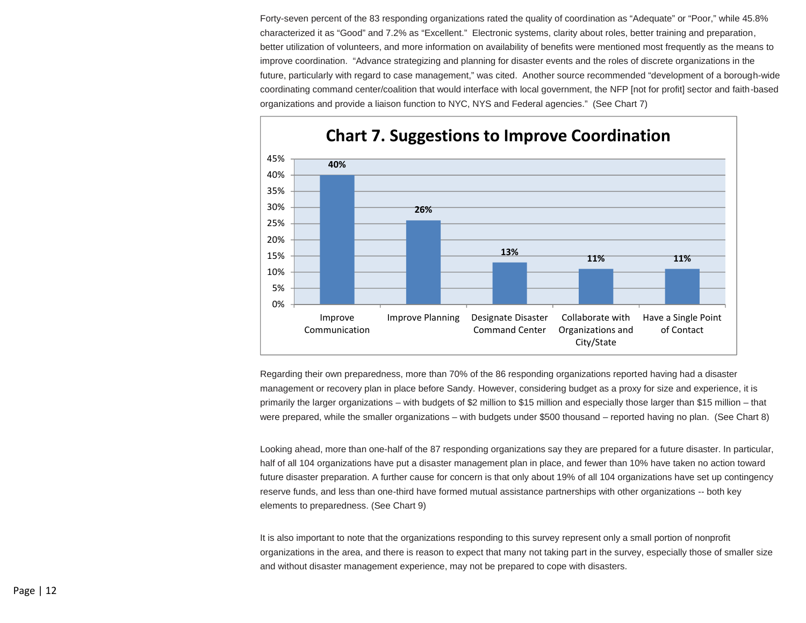Forty-seven percent of the 83 responding organizations rated the quality of coordination as "Adequate" or "Poor," while 45.8% characterized it as "Good" and 7.2% as "Excellent." Electronic systems, clarity about roles, better training and preparation, better utilization of volunteers, and more information on availability of benefits were mentioned most frequently as the means to improve coordination. "Advance strategizing and planning for disaster events and the roles of discrete organizations in the future, particularly with regard to case management," was cited. Another source recommended "development of a borough-wide coordinating command center/coalition that would interface with local government, the NFP [not for profit] sector and faith-based organizations and provide a liaison function to NYC, NYS and Federal agencies." (See Chart 7)



### **Chart 7. Suggestions to Improve Coordination**

Regarding their own preparedness, more than 70% of the 86 responding organizations reported having had a disaster management or recovery plan in place before Sandy. However, considering budget as a proxy for size and experience, it is primarily the larger organizations – with budgets of \$2 million to \$15 million and especially those larger than \$15 million – that were prepared, while the smaller organizations – with budgets under \$500 thousand – reported having no plan. (See Chart 8)

Looking ahead, more than one-half of the 87 responding organizations say they are prepared for a future disaster. In particular, half of all 104 organizations have put a disaster management plan in place, and fewer than 10% have taken no action toward future disaster preparation. A further cause for concern is that only about 19% of all 104 organizations have set up contingency reserve funds, and less than one-third have formed mutual assistance partnerships with other organizations -- both key elements to preparedness. (See Chart 9)

It is also important to note that the organizations responding to this survey represent only a small portion of nonprofit organizations in the area, and there is reason to expect that many not taking part in the survey, especially those of smaller size and without disaster management experience, may not be prepared to cope with disasters.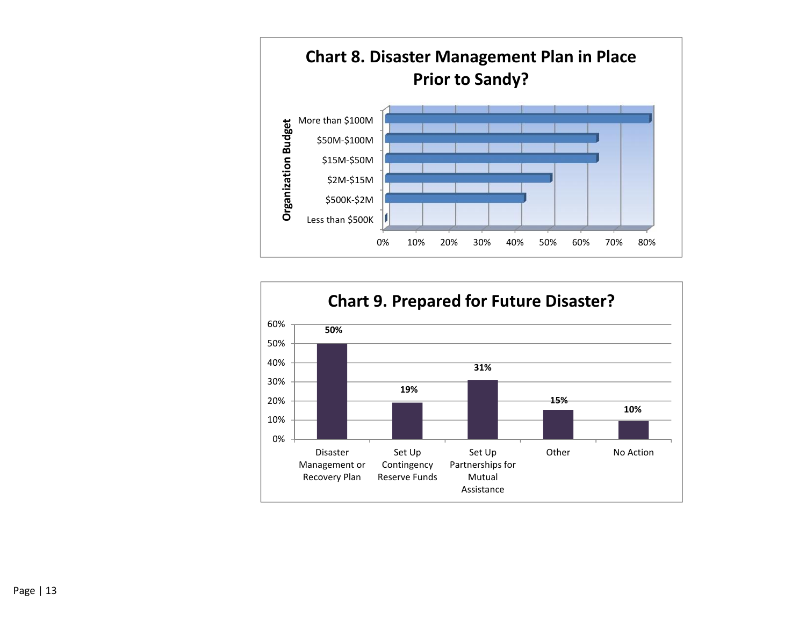

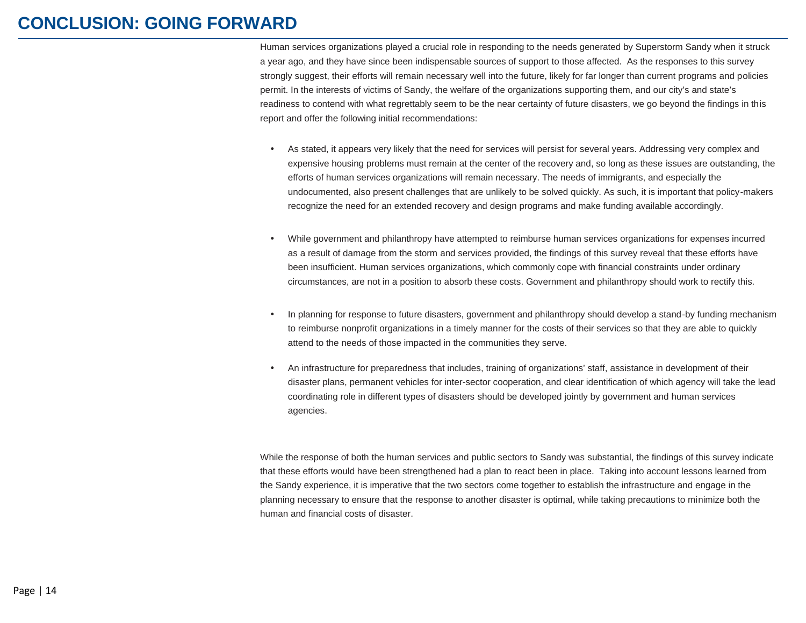Human services organizations played a crucial role in responding to the needs generated by Superstorm Sandy when it struck a year ago, and they have since been indispensable sources of support to those affected. As the responses to this survey strongly suggest, their efforts will remain necessary well into the future, likely for far longer than current programs and policies permit. In the interests of victims of Sandy, the welfare of the organizations supporting them, and our city's and state's readiness to contend with what regrettably seem to be the near certainty of future disasters, we go beyond the findings in this report and offer the following initial recommendations:

- As stated, it appears very likely that the need for services will persist for several years. Addressing very complex and expensive housing problems must remain at the center of the recovery and, so long as these issues are outstanding, the efforts of human services organizations will remain necessary. The needs of immigrants, and especially the undocumented, also present challenges that are unlikely to be solved quickly. As such, it is important that policy-makers recognize the need for an extended recovery and design programs and make funding available accordingly.
- While government and philanthropy have attempted to reimburse human services organizations for expenses incurred as a result of damage from the storm and services provided, the findings of this survey reveal that these efforts have been insufficient. Human services organizations, which commonly cope with financial constraints under ordinary circumstances, are not in a position to absorb these costs. Government and philanthropy should work to rectify this.
- In planning for response to future disasters, government and philanthropy should develop a stand-by funding mechanism to reimburse nonprofit organizations in a timely manner for the costs of their services so that they are able to quickly attend to the needs of those impacted in the communities they serve.
- An infrastructure for preparedness that includes, training of organizations' staff, assistance in development of their disaster plans, permanent vehicles for inter-sector cooperation, and clear identification of which agency will take the lead coordinating role in different types of disasters should be developed jointly by government and human services agencies.

While the response of both the human services and public sectors to Sandy was substantial, the findings of this survey indicate that these efforts would have been strengthened had a plan to react been in place. Taking into account lessons learned from the Sandy experience, it is imperative that the two sectors come together to establish the infrastructure and engage in the planning necessary to ensure that the response to another disaster is optimal, while taking precautions to minimize both the human and financial costs of disaster.